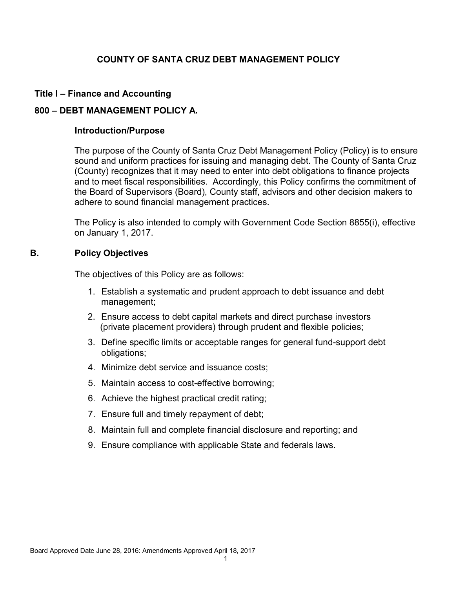## **COUNTY OF SANTA CRUZ DEBT MANAGEMENT POLICY**

## **Title I – Finance and Accounting**

### **800 – DEBT MANAGEMENT POLICY A.**

#### **Introduction/Purpose**

The purpose of the County of Santa Cruz Debt Management Policy (Policy) is to ensure sound and uniform practices for issuing and managing debt. The County of Santa Cruz (County) recognizes that it may need to enter into debt obligations to finance projects and to meet fiscal responsibilities. Accordingly, this Policy confirms the commitment of the Board of Supervisors (Board), County staff, advisors and other decision makers to adhere to sound financial management practices.

The Policy is also intended to comply with Government Code Section 8855(i), effective on January 1, 2017.

### **B. Policy Objectives**

The objectives of this Policy are as follows:

- 1. Establish a systematic and prudent approach to debt issuance and debt management;
- 2. Ensure access to debt capital markets and direct purchase investors (private placement providers) through prudent and flexible policies;
- 3. Define specific limits or acceptable ranges for general fund-support debt obligations;
- 4. Minimize debt service and issuance costs;
- 5. Maintain access to cost-effective borrowing;
- 6. Achieve the highest practical credit rating;
- 7. Ensure full and timely repayment of debt;
- 8. Maintain full and complete financial disclosure and reporting; and
- 9. Ensure compliance with applicable State and federals laws.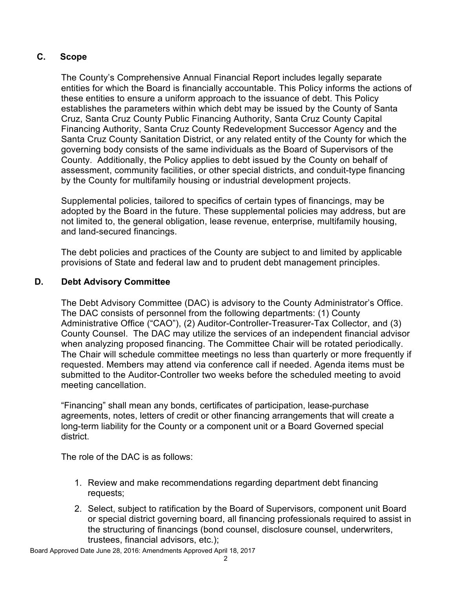# **C. Scope**

The County's Comprehensive Annual Financial Report includes legally separate entities for which the Board is financially accountable. This Policy informs the actions of these entities to ensure a uniform approach to the issuance of debt. This Policy establishes the parameters within which debt may be issued by the County of Santa Cruz, Santa Cruz County Public Financing Authority, Santa Cruz County Capital Financing Authority, Santa Cruz County Redevelopment Successor Agency and the Santa Cruz County Sanitation District, or any related entity of the County for which the governing body consists of the same individuals as the Board of Supervisors of the County. Additionally, the Policy applies to debt issued by the County on behalf of assessment, community facilities, or other special districts, and conduit-type financing by the County for multifamily housing or industrial development projects.

Supplemental policies, tailored to specifics of certain types of financings, may be adopted by the Board in the future. These supplemental policies may address, but are not limited to, the general obligation, lease revenue, enterprise, multifamily housing, and land-secured financings.

The debt policies and practices of the County are subject to and limited by applicable provisions of State and federal law and to prudent debt management principles.

## **D. Debt Advisory Committee**

The Debt Advisory Committee (DAC) is advisory to the County Administrator's Office. The DAC consists of personnel from the following departments: (1) County Administrative Office ("CAO"), (2) Auditor-Controller-Treasurer-Tax Collector, and (3) County Counsel. The DAC may utilize the services of an independent financial advisor when analyzing proposed financing. The Committee Chair will be rotated periodically. The Chair will schedule committee meetings no less than quarterly or more frequently if requested. Members may attend via conference call if needed. Agenda items must be submitted to the Auditor-Controller two weeks before the scheduled meeting to avoid meeting cancellation.

"Financing" shall mean any bonds, certificates of participation, lease-purchase agreements, notes, letters of credit or other financing arrangements that will create a long-term liability for the County or a component unit or a Board Governed special district.

The role of the DAC is as follows:

- 1. Review and make recommendations regarding department debt financing requests;
- 2. Select, subject to ratification by the Board of Supervisors, component unit Board or special district governing board, all financing professionals required to assist in the structuring of financings (bond counsel, disclosure counsel, underwriters, trustees, financial advisors, etc.);

Board Approved Date June 28, 2016: Amendments Approved April 18, 2017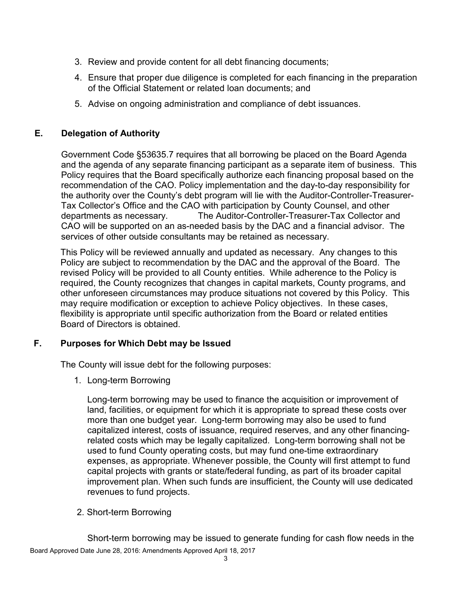- 3. Review and provide content for all debt financing documents;
- 4. Ensure that proper due diligence is completed for each financing in the preparation of the Official Statement or related loan documents; and
- 5. Advise on ongoing administration and compliance of debt issuances.

## **E. Delegation of Authority**

Government Code §53635.7 requires that all borrowing be placed on the Board Agenda and the agenda of any separate financing participant as a separate item of business. This Policy requires that the Board specifically authorize each financing proposal based on the recommendation of the CAO. Policy implementation and the day-to-day responsibility for the authority over the County's debt program will lie with the Auditor-Controller-Treasurer-Tax Collector's Office and the CAO with participation by County Counsel, and other departments as necessary. The Auditor-Controller-Treasurer-Tax Collector and CAO will be supported on an as-needed basis by the DAC and a financial advisor. The services of other outside consultants may be retained as necessary.

This Policy will be reviewed annually and updated as necessary. Any changes to this Policy are subject to recommendation by the DAC and the approval of the Board. The revised Policy will be provided to all County entities. While adherence to the Policy is required, the County recognizes that changes in capital markets, County programs, and other unforeseen circumstances may produce situations not covered by this Policy. This may require modification or exception to achieve Policy objectives. In these cases, flexibility is appropriate until specific authorization from the Board or related entities Board of Directors is obtained.

## **F. Purposes for Which Debt may be Issued**

The County will issue debt for the following purposes:

1. Long-term Borrowing

Long-term borrowing may be used to finance the acquisition or improvement of land, facilities, or equipment for which it is appropriate to spread these costs over more than one budget year. Long-term borrowing may also be used to fund capitalized interest, costs of issuance, required reserves, and any other financingrelated costs which may be legally capitalized. Long-term borrowing shall not be used to fund County operating costs, but may fund one-time extraordinary expenses, as appropriate. Whenever possible, the County will first attempt to fund capital projects with grants or state/federal funding, as part of its broader capital improvement plan. When such funds are insufficient, the County will use dedicated revenues to fund projects.

2. Short-term Borrowing

Board Approved Date June 28, 2016: Amendments Approved April 18, 2017 Short-term borrowing may be issued to generate funding for cash flow needs in the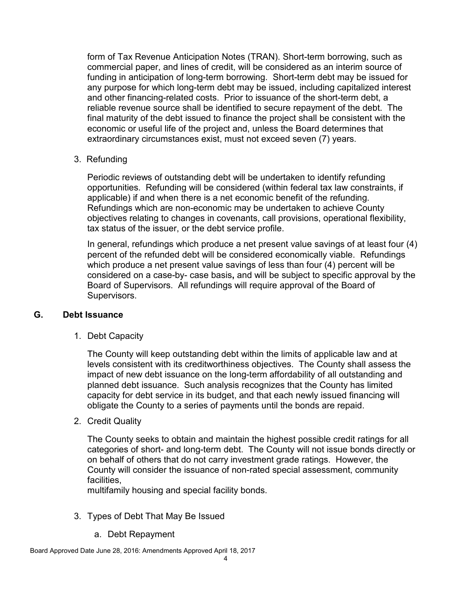form of Tax Revenue Anticipation Notes (TRAN). Short-term borrowing, such as commercial paper, and lines of credit, will be considered as an interim source of funding in anticipation of long-term borrowing. Short-term debt may be issued for any purpose for which long-term debt may be issued, including capitalized interest and other financing-related costs. Prior to issuance of the short-term debt, a reliable revenue source shall be identified to secure repayment of the debt. The final maturity of the debt issued to finance the project shall be consistent with the economic or useful life of the project and, unless the Board determines that extraordinary circumstances exist, must not exceed seven (7) years.

## 3. Refunding

Periodic reviews of outstanding debt will be undertaken to identify refunding opportunities. Refunding will be considered (within federal tax law constraints, if applicable) if and when there is a net economic benefit of the refunding. Refundings which are non-economic may be undertaken to achieve County objectives relating to changes in covenants, call provisions, operational flexibility, tax status of the issuer, or the debt service profile.

In general, refundings which produce a net present value savings of at least four (4) percent of the refunded debt will be considered economically viable. Refundings which produce a net present value savings of less than four (4) percent will be considered on a case-by- case basis**,** and will be subject to specific approval by the Board of Supervisors. All refundings will require approval of the Board of Supervisors.

#### **G. Debt Issuance**

1. Debt Capacity

The County will keep outstanding debt within the limits of applicable law and at levels consistent with its creditworthiness objectives. The County shall assess the impact of new debt issuance on the long-term affordability of all outstanding and planned debt issuance. Such analysis recognizes that the County has limited capacity for debt service in its budget, and that each newly issued financing will obligate the County to a series of payments until the bonds are repaid.

2. Credit Quality

The County seeks to obtain and maintain the highest possible credit ratings for all categories of short- and long-term debt. The County will not issue bonds directly or on behalf of others that do not carry investment grade ratings. However, the County will consider the issuance of non-rated special assessment, community facilities,

multifamily housing and special facility bonds.

- 3. Types of Debt That May Be Issued
	- a. Debt Repayment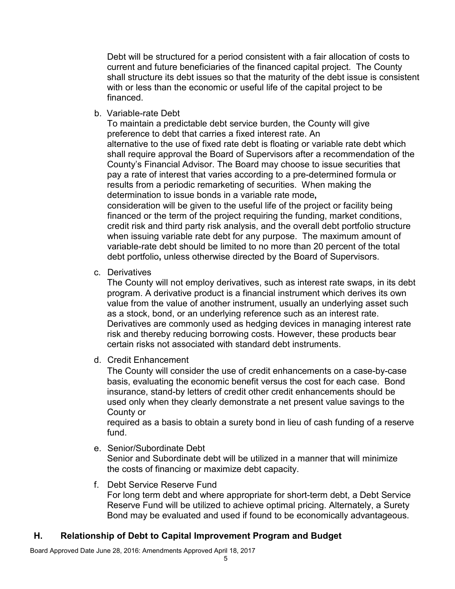Debt will be structured for a period consistent with a fair allocation of costs to current and future beneficiaries of the financed capital project. The County shall structure its debt issues so that the maturity of the debt issue is consistent with or less than the economic or useful life of the capital project to be financed.

b. Variable-rate Debt

To maintain a predictable debt service burden, the County will give preference to debt that carries a fixed interest rate. An alternative to the use of fixed rate debt is floating or variable rate debt which shall require approval the Board of Supervisors after a recommendation of the County's Financial Advisor. The Board may choose to issue securities that pay a rate of interest that varies according to a pre-determined formula or results from a periodic remarketing of securities. When making the determination to issue bonds in a variable rate mode**,** consideration will be given to the useful life of the project or facility being financed or the term of the project requiring the funding, market conditions, credit risk and third party risk analysis, and the overall debt portfolio structure when issuing variable rate debt for any purpose. The maximum amount of variable-rate debt should be limited to no more than 20 percent of the total debt portfolio**,** unless otherwise directed by the Board of Supervisors.

c. Derivatives

The County will not employ derivatives, such as interest rate swaps, in its debt program. A derivative product is a financial instrument which derives its own value from the value of another instrument, usually an underlying asset such as a stock, bond, or an underlying reference such as an interest rate. Derivatives are commonly used as hedging devices in managing interest rate risk and thereby reducing borrowing costs. However, these products bear certain risks not associated with standard debt instruments.

d. Credit Enhancement

The County will consider the use of credit enhancements on a case-by-case basis, evaluating the economic benefit versus the cost for each case. Bond insurance, stand-by letters of credit other credit enhancements should be used only when they clearly demonstrate a net present value savings to the County or

required as a basis to obtain a surety bond in lieu of cash funding of a reserve fund.

e. Senior/Subordinate Debt

Senior and Subordinate debt will be utilized in a manner that will minimize the costs of financing or maximize debt capacity.

f. Debt Service Reserve Fund

For long term debt and where appropriate for short-term debt, a Debt Service Reserve Fund will be utilized to achieve optimal pricing. Alternately, a Surety Bond may be evaluated and used if found to be economically advantageous.

## **H. Relationship of Debt to Capital Improvement Program and Budget**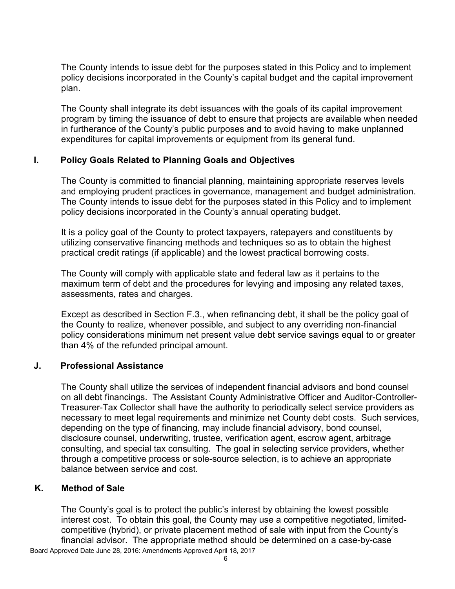The County intends to issue debt for the purposes stated in this Policy and to implement policy decisions incorporated in the County's capital budget and the capital improvement plan.

The County shall integrate its debt issuances with the goals of its capital improvement program by timing the issuance of debt to ensure that projects are available when needed in furtherance of the County's public purposes and to avoid having to make unplanned expenditures for capital improvements or equipment from its general fund.

## **I. Policy Goals Related to Planning Goals and Objectives**

The County is committed to financial planning, maintaining appropriate reserves levels and employing prudent practices in governance, management and budget administration. The County intends to issue debt for the purposes stated in this Policy and to implement policy decisions incorporated in the County's annual operating budget.

It is a policy goal of the County to protect taxpayers, ratepayers and constituents by utilizing conservative financing methods and techniques so as to obtain the highest practical credit ratings (if applicable) and the lowest practical borrowing costs.

The County will comply with applicable state and federal law as it pertains to the maximum term of debt and the procedures for levying and imposing any related taxes, assessments, rates and charges.

Except as described in Section F.3., when refinancing debt, it shall be the policy goal of the County to realize, whenever possible, and subject to any overriding non-financial policy considerations minimum net present value debt service savings equal to or greater than 4% of the refunded principal amount.

## **J. Professional Assistance**

The County shall utilize the services of independent financial advisors and bond counsel on all debt financings. The Assistant County Administrative Officer and Auditor-Controller-Treasurer-Tax Collector shall have the authority to periodically select service providers as necessary to meet legal requirements and minimize net County debt costs. Such services, depending on the type of financing, may include financial advisory, bond counsel, disclosure counsel, underwriting, trustee, verification agent, escrow agent, arbitrage consulting, and special tax consulting. The goal in selecting service providers, whether through a competitive process or sole-source selection, is to achieve an appropriate balance between service and cost.

## **K. Method of Sale**

The County's goal is to protect the public's interest by obtaining the lowest possible interest cost. To obtain this goal, the County may use a competitive negotiated, limitedcompetitive (hybrid), or private placement method of sale with input from the County's financial advisor. The appropriate method should be determined on a case-by-case

Board Approved Date June 28, 2016: Amendments Approved April 18, 2017  $\sim$  6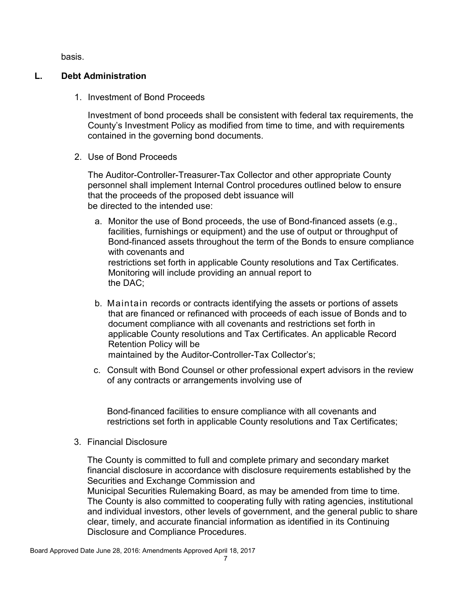basis.

## **L. Debt Administration**

1. Investment of Bond Proceeds

Investment of bond proceeds shall be consistent with federal tax requirements, the County's Investment Policy as modified from time to time, and with requirements contained in the governing bond documents.

2. Use of Bond Proceeds

The Auditor-Controller-Treasurer-Tax Collector and other appropriate County personnel shall implement Internal Control procedures outlined below to ensure that the proceeds of the proposed debt issuance will be directed to the intended use:

- a. Monitor the use of Bond proceeds, the use of Bond-financed assets (e.g., facilities, furnishings or equipment) and the use of output or throughput of Bond-financed assets throughout the term of the Bonds to ensure compliance with covenants and restrictions set forth in applicable County resolutions and Tax Certificates. Monitoring will include providing an annual report to the DAC;
- b. Maintain records or contracts identifying the assets or portions of assets that are financed or refinanced with proceeds of each issue of Bonds and to document compliance with all covenants and restrictions set forth in applicable County resolutions and Tax Certificates. An applicable Record Retention Policy will be maintained by the Auditor-Controller-Tax Collector's;
- c. Consult with Bond Counsel or other professional expert advisors in the review of any contracts or arrangements involving use of

Bond-financed facilities to ensure compliance with all covenants and restrictions set forth in applicable County resolutions and Tax Certificates;

3. Financial Disclosure

The County is committed to full and complete primary and secondary market financial disclosure in accordance with disclosure requirements established by the Securities and Exchange Commission and Municipal Securities Rulemaking Board, as may be amended from time to time. The County is also committed to cooperating fully with rating agencies, institutional and individual investors, other levels of government, and the general public to share clear, timely, and accurate financial information as identified in its Continuing Disclosure and Compliance Procedures.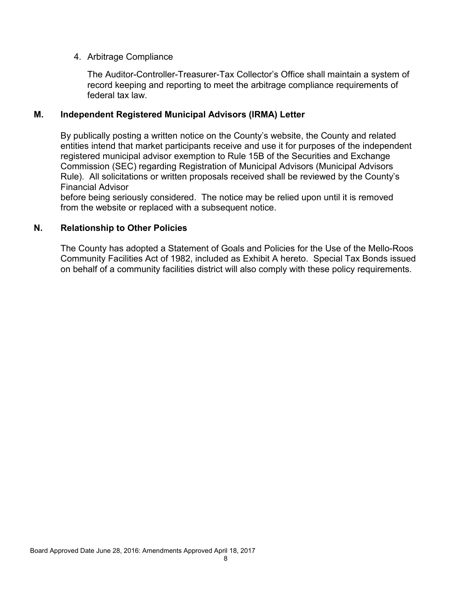## 4. Arbitrage Compliance

The Auditor-Controller-Treasurer-Tax Collector's Office shall maintain a system of record keeping and reporting to meet the arbitrage compliance requirements of federal tax law.

## **M. Independent Registered Municipal Advisors (IRMA) Letter**

By publically posting a written notice on the County's website, the County and related entities intend that market participants receive and use it for purposes of the independent registered municipal advisor exemption to Rule 15B of the Securities and Exchange Commission (SEC) regarding Registration of Municipal Advisors (Municipal Advisors Rule). All solicitations or written proposals received shall be reviewed by the County's Financial Advisor

before being seriously considered. The notice may be relied upon until it is removed from the website or replaced with a subsequent notice.

## **N. Relationship to Other Policies**

The County has adopted a Statement of Goals and Policies for the Use of the Mello-Roos Community Facilities Act of 1982, included as Exhibit A hereto. Special Tax Bonds issued on behalf of a community facilities district will also comply with these policy requirements.